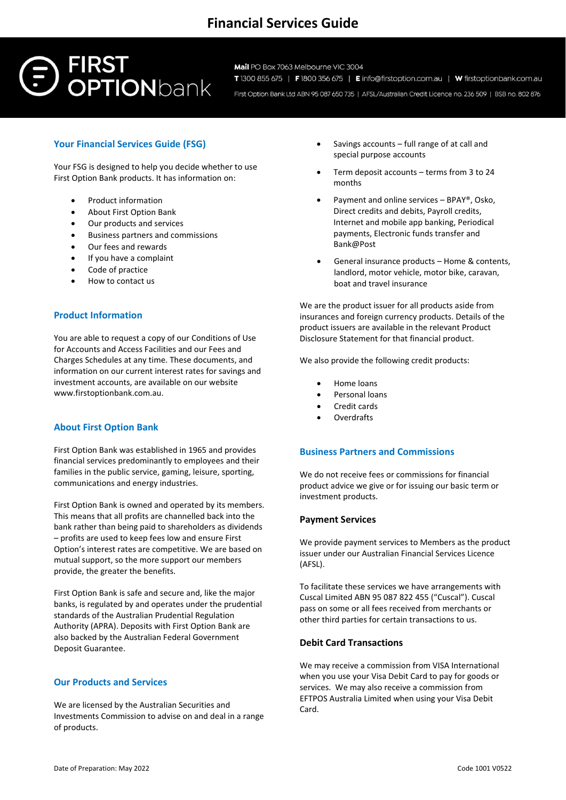## **Financial Services Guide**

# **FIRST<br>OPTION**bank

Mail PO Box 7063 Melbourne VIC 3004 T 1300 855 675 | F 1800 356 675 | E info@firstoption.com.au | W firstoptionbank.com.au

First Option Bank Ltd ABN 95 087 650 735 | AFSL/Australian Credit Licence no. 236 509 | BSB no. 802 876

### **Your Financial Services Guide (FSG)**

Your FSG is designed to help you decide whether to use First Option Bank products. It has information on:

- Product information
- About First Option Bank
- Our products and services
- Business partners and commissions
- Our fees and rewards
- If you have a complaint
- Code of practice
- How to contact us

#### **Product Information**

You are able to request a copy of our Conditions of Use for Accounts and Access Facilities and our Fees and Charges Schedules at any time. These documents, and information on our current interest rates for savings and investment accounts, are available on our website www.firstoptionbank.com.au.

#### **About First Option Bank**

First Option Bank was established in 1965 and provides financial services predominantly to employees and their families in the public service, gaming, leisure, sporting, communications and energy industries.

First Option Bank is owned and operated by its members. This means that all profits are channelled back into the bank rather than being paid to shareholders as dividends – profits are used to keep fees low and ensure First Option's interest rates are competitive. We are based on mutual support, so the more support our members provide, the greater the benefits.

First Option Bank is safe and secure and, like the major banks, is regulated by and operates under the prudential standards of the Australian Prudential Regulation Authority (APRA). Deposits with First Option Bank are also backed by the Australian Federal Government Deposit Guarantee.

#### **Our Products and Services**

We are licensed by the Australian Securities and Investments Commission to advise on and deal in a range of products.

- Savings accounts full range of at call and special purpose accounts
- Term deposit accounts terms from 3 to 24 months
- Payment and online services BPAY®, Osko, Direct credits and debits, Payroll credits, Internet and mobile app banking, Periodical payments, Electronic funds transfer and Bank@Post
- General insurance products Home & contents, landlord, motor vehicle, motor bike, caravan, boat and travel insurance

We are the product issuer for all products aside from insurances and foreign currency products. Details of the product issuers are available in the relevant Product Disclosure Statement for that financial product.

We also provide the following credit products:

- Home loans
- Personal loans
- Credit cards
- Overdrafts

#### **Business Partners and Commissions**

We do not receive fees or commissions for financial product advice we give or for issuing our basic term or investment products.

#### **Payment Services**

We provide payment services to Members as the product issuer under our Australian Financial Services Licence (AFSL).

To facilitate these services we have arrangements with Cuscal Limited ABN 95 087 822 455 ("Cuscal"). Cuscal pass on some or all fees received from merchants or other third parties for certain transactions to us.

#### **Debit Card Transactions**

We may receive a commission from VISA International when you use your Visa Debit Card to pay for goods or services. We may also receive a commission from EFTPOS Australia Limited when using your Visa Debit Card.